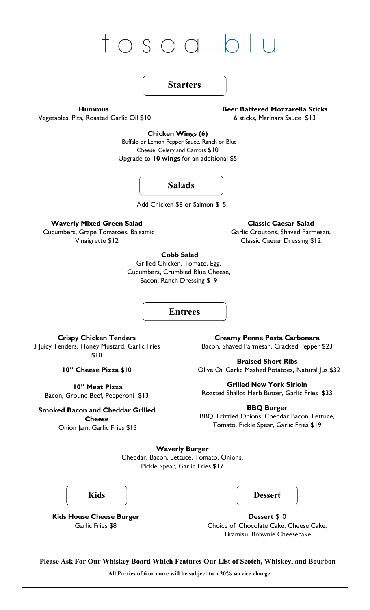

Garlic Fries \$8

Choice of: Chocolate Cake, Cheese Cake, Tiramisu, Brownie Cheesecake

**Please Ask For Our Whiskey Board Which Features Our List of Scotch, Whiskey, and Bourbon All Parties of 6 or more will be subject to a 20% service charge**